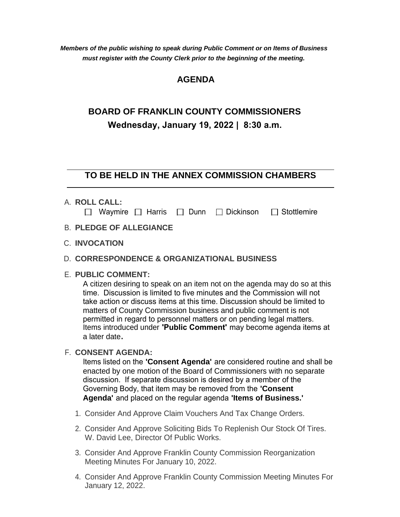*Members of the public wishing to speak during Public Comment or on Items of Business must register with the County Clerk prior to the beginning of the meeting.*

## **AGENDA**

# **BOARD OF FRANKLIN COUNTY COMMISSIONERS Wednesday, January 19, 2022 | 8:30 a.m.**

### **TO BE HELD IN THE ANNEX COMMISSION CHAMBERS**

**ROLL CALL:** A.

|  |  | $\Box$ Waymire $\Box$ Harris $\Box$ Dunn $\Box$ Dickinson $\Box$ Stottlemire |
|--|--|------------------------------------------------------------------------------|
|  |  |                                                                              |

- **PLEDGE OF ALLEGIANCE** B.
- **INVOCATION** C.

#### **CORRESPONDENCE & ORGANIZATIONAL BUSINESS** D.

#### **PUBLIC COMMENT:** E.

A citizen desiring to speak on an item not on the agenda may do so at this time. Discussion is limited to five minutes and the Commission will not take action or discuss items at this time. Discussion should be limited to matters of County Commission business and public comment is not permitted in regard to personnel matters or on pending legal matters. Items introduced under **'Public Comment'** may become agenda items at a later date**.**

#### **CONSENT AGENDA:** F.

Items listed on the **'Consent Agenda'** are considered routine and shall be enacted by one motion of the Board of Commissioners with no separate discussion. If separate discussion is desired by a member of the Governing Body, that item may be removed from the **'Consent Agenda'** and placed on the regular agenda **'Items of Business.'**

- 1. Consider And Approve Claim Vouchers And Tax Change Orders.
- 2. Consider And Approve Soliciting Bids To Replenish Our Stock Of Tires. W. David Lee, Director Of Public Works.
- 3. Consider And Approve Franklin County Commission Reorganization Meeting Minutes For January 10, 2022.
- Consider And Approve Franklin County Commission Meeting Minutes For 4. January 12, 2022.